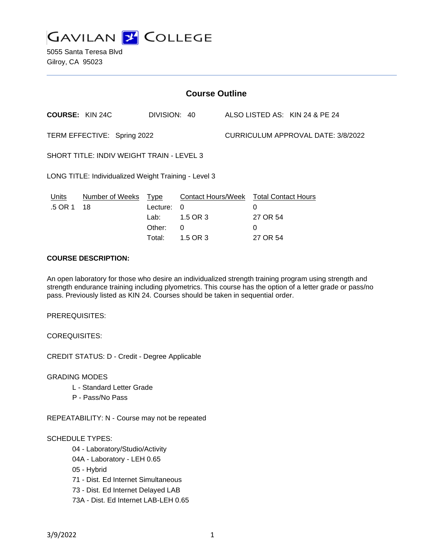**GAVILAN J COLLEGE** 

5055 Santa Teresa Blvd Gilroy, CA 95023

| <b>Course Outline</b>                                             |                       |                                                     |                                                                    |  |                                                              |                                |
|-------------------------------------------------------------------|-----------------------|-----------------------------------------------------|--------------------------------------------------------------------|--|--------------------------------------------------------------|--------------------------------|
| <b>COURSE: KIN 24C</b>                                            |                       | DIVISION: 40                                        |                                                                    |  |                                                              | ALSO LISTED AS: KIN 24 & PE 24 |
| CURRICULUM APPROVAL DATE: 3/8/2022<br>TERM EFFECTIVE: Spring 2022 |                       |                                                     |                                                                    |  |                                                              |                                |
| SHORT TITLE: INDIV WEIGHT TRAIN - LEVEL 3                         |                       |                                                     |                                                                    |  |                                                              |                                |
| LONG TITLE: Individualized Weight Training - Level 3              |                       |                                                     |                                                                    |  |                                                              |                                |
| Units<br>.5 OR 1                                                  | Number of Weeks<br>18 | <b>Type</b><br>Lecture:<br>Lab:<br>Other:<br>Total: | <b>Contact Hours/Week</b><br>$\Omega$<br>1.5 OR 3<br>0<br>1.5 OR 3 |  | <b>Total Contact Hours</b><br>0<br>27 OR 54<br>0<br>27 OR 54 |                                |

## **COURSE DESCRIPTION:**

An open laboratory for those who desire an individualized strength training program using strength and strength endurance training including plyometrics. This course has the option of a letter grade or pass/no pass. Previously listed as KIN 24. Courses should be taken in sequential order.

PREREQUISITES:

COREQUISITES:

CREDIT STATUS: D - Credit - Degree Applicable

GRADING MODES

- L Standard Letter Grade
- P Pass/No Pass

REPEATABILITY: N - Course may not be repeated

### SCHEDULE TYPES:

04 - Laboratory/Studio/Activity

- 04A Laboratory LEH 0.65
- 05 Hybrid

71 - Dist. Ed Internet Simultaneous

- 73 Dist. Ed Internet Delayed LAB
- 73A Dist. Ed Internet LAB-LEH 0.65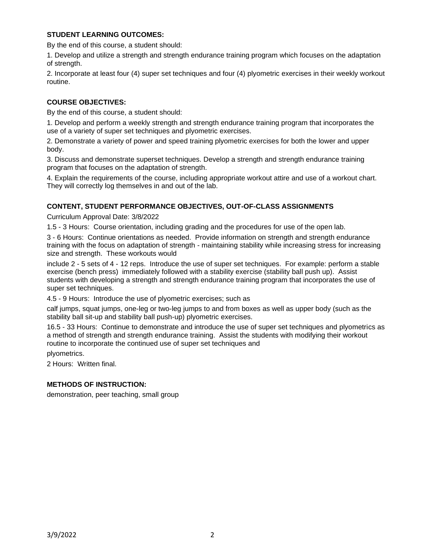## **STUDENT LEARNING OUTCOMES:**

By the end of this course, a student should:

1. Develop and utilize a strength and strength endurance training program which focuses on the adaptation of strength.

2. Incorporate at least four (4) super set techniques and four (4) plyometric exercises in their weekly workout routine.

## **COURSE OBJECTIVES:**

By the end of this course, a student should:

1. Develop and perform a weekly strength and strength endurance training program that incorporates the use of a variety of super set techniques and plyometric exercises.

2. Demonstrate a variety of power and speed training plyometric exercises for both the lower and upper body.

3. Discuss and demonstrate superset techniques. Develop a strength and strength endurance training program that focuses on the adaptation of strength.

4. Explain the requirements of the course, including appropriate workout attire and use of a workout chart. They will correctly log themselves in and out of the lab.

# **CONTENT, STUDENT PERFORMANCE OBJECTIVES, OUT-OF-CLASS ASSIGNMENTS**

Curriculum Approval Date: 3/8/2022

1.5 - 3 Hours: Course orientation, including grading and the procedures for use of the open lab.

3 - 6 Hours: Continue orientations as needed. Provide information on strength and strength endurance training with the focus on adaptation of strength - maintaining stability while increasing stress for increasing size and strength. These workouts would

include 2 - 5 sets of 4 - 12 reps. Introduce the use of super set techniques. For example: perform a stable exercise (bench press) immediately followed with a stability exercise (stability ball push up). Assist students with developing a strength and strength endurance training program that incorporates the use of super set techniques.

4.5 - 9 Hours: Introduce the use of plyometric exercises; such as

calf jumps, squat jumps, one-leg or two-leg jumps to and from boxes as well as upper body (such as the stability ball sit-up and stability ball push-up) plyometric exercises.

16.5 - 33 Hours: Continue to demonstrate and introduce the use of super set techniques and plyometrics as a method of strength and strength endurance training. Assist the students with modifying their workout routine to incorporate the continued use of super set techniques and

plyometrics.

2 Hours: Written final.

### **METHODS OF INSTRUCTION:**

demonstration, peer teaching, small group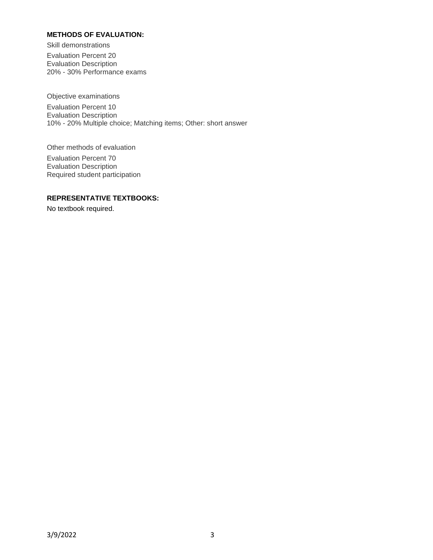## **METHODS OF EVALUATION:**

Skill demonstrations

Evaluation Percent 20 Evaluation Description 20% - 30% Performance exams

Objective examinations

Evaluation Percent 10 Evaluation Description 10% - 20% Multiple choice; Matching items; Other: short answer

Other methods of evaluation

Evaluation Percent 70 Evaluation Description Required student participation

#### **REPRESENTATIVE TEXTBOOKS:**

No textbook required.